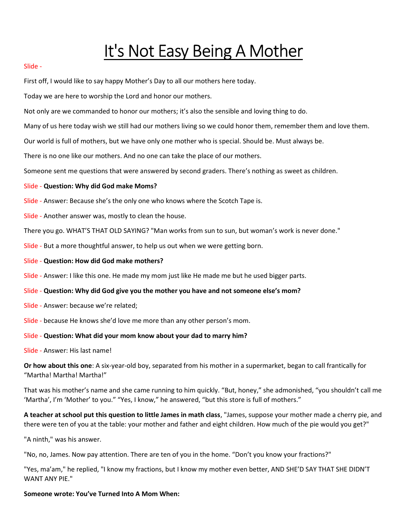# It's Not Easy Being A Mother

### Slide -

First off, I would like to say happy Mother's Day to all our mothers here today.

Today we are here to worship the Lord and honor our mothers.

Not only are we commanded to honor our mothers; it's also the sensible and loving thing to do.

Many of us here today wish we still had our mothers living so we could honor them, remember them and love them.

Our world is full of mothers, but we have only one mother who is special. Should be. Must always be.

There is no one like our mothers. And no one can take the place of our mothers.

Someone sent me questions that were answered by second graders. There's nothing as sweet as children.

### Slide - Question: Why did God make Moms?

Slide - Answer: Because she's the only one who knows where the Scotch Tape is.

Slide - Another answer was, mostly to clean the house.

There you go. WHAT'S THAT OLD SAYING? "Man works from sun to sun, but woman's work is never done."

Slide - But a more thoughtful answer, to help us out when we were getting born.

Slide - Question: How did God make mothers?

Slide - Answer: I like this one. He made my mom just like He made me but he used bigger parts.

#### Slide - Question: Why did God give you the mother you have and not someone else's mom?

- Slide Answer: because we're related;
- Slide because He knows she'd love me more than any other person's mom.

## Slide - Question: What did your mom know about your dad to marry him?

Slide - Answer: His last name!

Or how about this one: A six-year-old boy, separated from his mother in a supermarket, began to call frantically for "Martha! Martha! Martha!"

That was his mother's name and she came running to him quickly. "But, honey," she admonished, "you shouldn't call me 'Martha', I'm 'Mother' to you." "Yes, I know," he answered, "but this store is full of mothers."

A teacher at school put this question to little James in math class, "James, suppose your mother made a cherry pie, and there were ten of you at the table: your mother and father and eight children. How much of the pie would you get?"

"A ninth," was his answer.

"No, no, James. Now pay attention. There are ten of you in the home. "Don't you know your fractions?"

"Yes, ma'am," he replied, "I know my fractions, but I know my mother even better, AND SHE'D SAY THAT SHE DIDN'T WANT ANY PIE."

## Someone wrote: You've Turned Into A Mom When: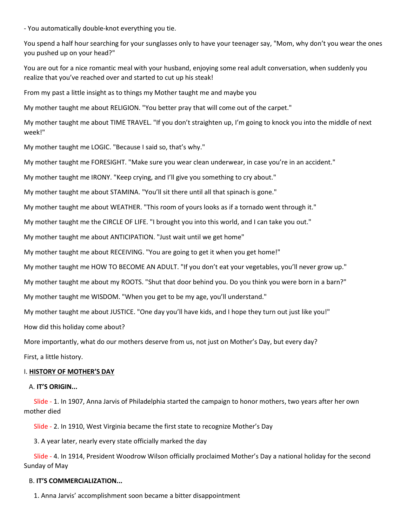- You automatically double-knot everything you tie.

You spend a half hour searching for your sunglasses only to have your teenager say, "Mom, why don't you wear the ones you pushed up on your head?"

You are out for a nice romantic meal with your husband, enjoying some real adult conversation, when suddenly you realize that you've reached over and started to cut up his steak!

From my past a little insight as to things my Mother taught me and maybe you

My mother taught me about RELIGION. "You better pray that will come out of the carpet."

My mother taught me about TIME TRAVEL. "If you don't straighten up, I'm going to knock you into the middle of next week!"

My mother taught me LOGIC. "Because I said so, that's why."

My mother taught me FORESIGHT. "Make sure you wear clean underwear, in case you're in an accident."

My mother taught me IRONY. "Keep crying, and I'll give you something to cry about."

My mother taught me about STAMINA. "You'll sit there until all that spinach is gone."

My mother taught me about WEATHER. "This room of yours looks as if a tornado went through it."

My mother taught me the CIRCLE OF LIFE. "I brought you into this world, and I can take you out."

My mother taught me about ANTICIPATION. "Just wait until we get home"

My mother taught me about RECEIVING. "You are going to get it when you get home!"

My mother taught me HOW TO BECOME AN ADULT. "If you don't eat your vegetables, you'll never grow up."

My mother taught me about my ROOTS. "Shut that door behind you. Do you think you were born in a barn?"

My mother taught me WISDOM. "When you get to be my age, you'll understand."

My mother taught me about JUSTICE. "One day you'll have kids, and I hope they turn out just like you!"

How did this holiday come about?

More importantly, what do our mothers deserve from us, not just on Mother's Day, but every day?

First, a little history.

#### I. HISTORY OF MOTHER'S DAY

#### A. IT'S ORIGIN...

 Slide - 1. In 1907, Anna Jarvis of Philadelphia started the campaign to honor mothers, two years after her own mother died

Slide - 2. In 1910, West Virginia became the first state to recognize Mother's Day

3. A year later, nearly every state officially marked the day

 Slide - 4. In 1914, President Woodrow Wilson officially proclaimed Mother's Day a national holiday for the second Sunday of May

### B. IT'S COMMERCIALIZATION...

1. Anna Jarvis' accomplishment soon became a bitter disappointment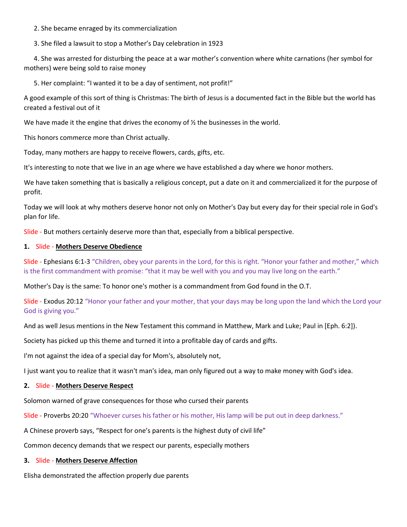2. She became enraged by its commercialization

3. She filed a lawsuit to stop a Mother's Day celebration in 1923

 4. She was arrested for disturbing the peace at a war mother's convention where white carnations (her symbol for mothers) were being sold to raise money

5. Her complaint: "I wanted it to be a day of sentiment, not profit!"

A good example of this sort of thing is Christmas: The birth of Jesus is a documented fact in the Bible but the world has created a festival out of it

We have made it the engine that drives the economy of  $\frac{1}{2}$  the businesses in the world.

This honors commerce more than Christ actually.

Today, many mothers are happy to receive flowers, cards, gifts, etc.

It's interesting to note that we live in an age where we have established a day where we honor mothers.

We have taken something that is basically a religious concept, put a date on it and commercialized it for the purpose of profit.

Today we will look at why mothers deserve honor not only on Mother's Day but every day for their special role in God's plan for life.

Slide - But mothers certainly deserve more than that, especially from a biblical perspective.

# 1. Slide - Mothers Deserve Obedience

Slide - Ephesians 6:1-3 "Children, obey your parents in the Lord, for this is right. "Honor your father and mother," which is the first commandment with promise: "that it may be well with you and you may live long on the earth."

Mother's Day is the same: To honor one's mother is a commandment from God found in the O.T.

Slide - Exodus 20:12 "Honor your father and your mother, that your days may be long upon the land which the Lord your God is giving you."

And as well Jesus mentions in the New Testament this command in Matthew, Mark and Luke; Paul in [Eph. 6:2]).

Society has picked up this theme and turned it into a profitable day of cards and gifts.

I'm not against the idea of a special day for Mom's, absolutely not,

I just want you to realize that it wasn't man's idea, man only figured out a way to make money with God's idea.

## 2. Slide - Mothers Deserve Respect

Solomon warned of grave consequences for those who cursed their parents

Slide - Proverbs 20:20 "Whoever curses his father or his mother, His lamp will be put out in deep darkness."

A Chinese proverb says, "Respect for one's parents is the highest duty of civil life"

Common decency demands that we respect our parents, especially mothers

## 3. Slide - Mothers Deserve Affection

Elisha demonstrated the affection properly due parents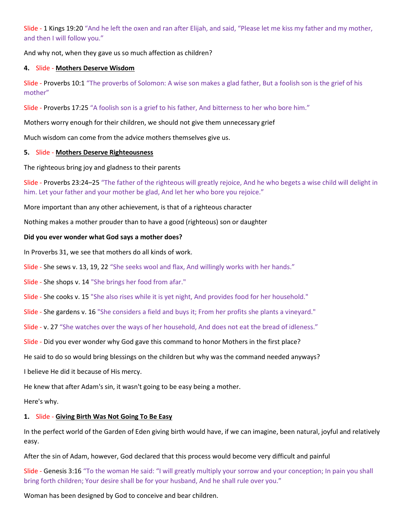Slide - 1 Kings 19:20 "And he left the oxen and ran after Elijah, and said, "Please let me kiss my father and my mother, and then I will follow you."

And why not, when they gave us so much affection as children?

## 4. Slide - Mothers Deserve Wisdom

Slide - Proverbs 10:1 "The proverbs of Solomon: A wise son makes a glad father, But a foolish son is the grief of his mother"

Slide - Proverbs 17:25 "A foolish son is a grief to his father, And bitterness to her who bore him."

Mothers worry enough for their children, we should not give them unnecessary grief

Much wisdom can come from the advice mothers themselves give us.

# 5. Slide - Mothers Deserve Righteousness

The righteous bring joy and gladness to their parents

Slide - Proverbs 23:24–25 "The father of the righteous will greatly rejoice, And he who begets a wise child will delight in him. Let your father and your mother be glad, And let her who bore you rejoice."

More important than any other achievement, is that of a righteous character

Nothing makes a mother prouder than to have a good (righteous) son or daughter

# Did you ever wonder what God says a mother does?

In Proverbs 31, we see that mothers do all kinds of work.

Slide - She sews v. 13, 19, 22 "She seeks wool and flax, And willingly works with her hands."

Slide - She shops v. 14 "She brings her food from afar."

Slide - She cooks v. 15 "She also rises while it is yet night, And provides food for her household."

Slide - She gardens v. 16 "She considers a field and buys it; From her profits she plants a vineyard."

Slide - v. 27 "She watches over the ways of her household, And does not eat the bread of idleness."

Slide - Did you ever wonder why God gave this command to honor Mothers in the first place?

He said to do so would bring blessings on the children but why was the command needed anyways?

I believe He did it because of His mercy.

He knew that after Adam's sin, it wasn't going to be easy being a mother.

Here's why.

# 1. Slide - Giving Birth Was Not Going To Be Easy

In the perfect world of the Garden of Eden giving birth would have, if we can imagine, been natural, joyful and relatively easy.

After the sin of Adam, however, God declared that this process would become very difficult and painful

Slide - Genesis 3:16 "To the woman He said: "I will greatly multiply your sorrow and your conception; In pain you shall bring forth children; Your desire shall be for your husband, And he shall rule over you."

Woman has been designed by God to conceive and bear children.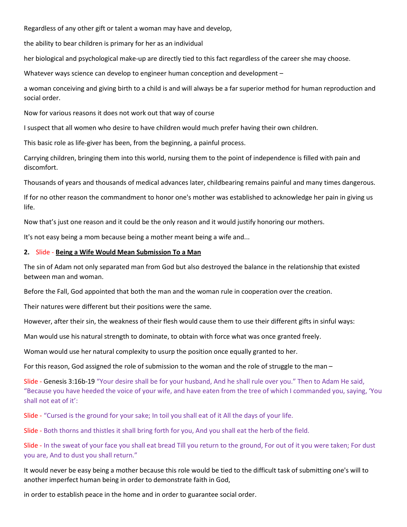Regardless of any other gift or talent a woman may have and develop,

the ability to bear children is primary for her as an individual

her biological and psychological make-up are directly tied to this fact regardless of the career she may choose.

Whatever ways science can develop to engineer human conception and development –

a woman conceiving and giving birth to a child is and will always be a far superior method for human reproduction and social order.

Now for various reasons it does not work out that way of course

I suspect that all women who desire to have children would much prefer having their own children.

This basic role as life-giver has been, from the beginning, a painful process.

Carrying children, bringing them into this world, nursing them to the point of independence is filled with pain and discomfort.

Thousands of years and thousands of medical advances later, childbearing remains painful and many times dangerous.

If for no other reason the commandment to honor one's mother was established to acknowledge her pain in giving us life.

Now that's just one reason and it could be the only reason and it would justify honoring our mothers.

It's not easy being a mom because being a mother meant being a wife and...

### 2. Slide - Being a Wife Would Mean Submission To a Man

The sin of Adam not only separated man from God but also destroyed the balance in the relationship that existed between man and woman.

Before the Fall, God appointed that both the man and the woman rule in cooperation over the creation.

Their natures were different but their positions were the same.

However, after their sin, the weakness of their flesh would cause them to use their different gifts in sinful ways:

Man would use his natural strength to dominate, to obtain with force what was once granted freely.

Woman would use her natural complexity to usurp the position once equally granted to her.

For this reason, God assigned the role of submission to the woman and the role of struggle to the man –

Slide - Genesis 3:16b-19 "Your desire shall be for your husband, And he shall rule over you." Then to Adam He said, "Because you have heeded the voice of your wife, and have eaten from the tree of which I commanded you, saying, 'You shall not eat of it':

Slide - "Cursed is the ground for your sake; In toil you shall eat of it All the days of your life.

Slide - Both thorns and thistles it shall bring forth for you, And you shall eat the herb of the field.

Slide - In the sweat of your face you shall eat bread Till you return to the ground, For out of it you were taken; For dust you are, And to dust you shall return."

It would never be easy being a mother because this role would be tied to the difficult task of submitting one's will to another imperfect human being in order to demonstrate faith in God,

in order to establish peace in the home and in order to guarantee social order.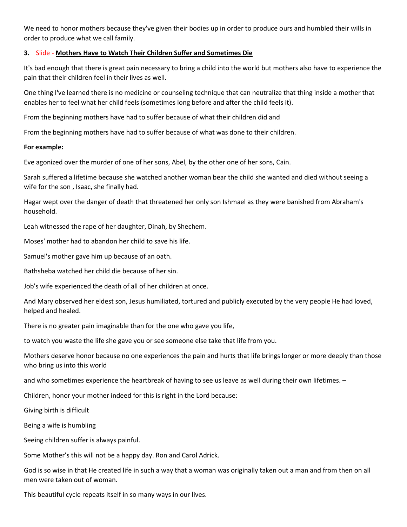We need to honor mothers because they've given their bodies up in order to produce ours and humbled their wills in order to produce what we call family.

# 3. Slide - Mothers Have to Watch Their Children Suffer and Sometimes Die

It's bad enough that there is great pain necessary to bring a child into the world but mothers also have to experience the pain that their children feel in their lives as well.

One thing I've learned there is no medicine or counseling technique that can neutralize that thing inside a mother that enables her to feel what her child feels (sometimes long before and after the child feels it).

From the beginning mothers have had to suffer because of what their children did and

From the beginning mothers have had to suffer because of what was done to their children.

## For example:

Eve agonized over the murder of one of her sons, Abel, by the other one of her sons, Cain.

Sarah suffered a lifetime because she watched another woman bear the child she wanted and died without seeing a wife for the son , Isaac, she finally had.

Hagar wept over the danger of death that threatened her only son Ishmael as they were banished from Abraham's household.

Leah witnessed the rape of her daughter, Dinah, by Shechem.

Moses' mother had to abandon her child to save his life.

Samuel's mother gave him up because of an oath.

Bathsheba watched her child die because of her sin.

Job's wife experienced the death of all of her children at once.

And Mary observed her eldest son, Jesus humiliated, tortured and publicly executed by the very people He had loved, helped and healed.

There is no greater pain imaginable than for the one who gave you life,

to watch you waste the life she gave you or see someone else take that life from you.

Mothers deserve honor because no one experiences the pain and hurts that life brings longer or more deeply than those who bring us into this world

and who sometimes experience the heartbreak of having to see us leave as well during their own lifetimes. –

Children, honor your mother indeed for this is right in the Lord because:

Giving birth is difficult

Being a wife is humbling

Seeing children suffer is always painful.

Some Mother's this will not be a happy day. Ron and Carol Adrick.

God is so wise in that He created life in such a way that a woman was originally taken out a man and from then on all men were taken out of woman.

This beautiful cycle repeats itself in so many ways in our lives.